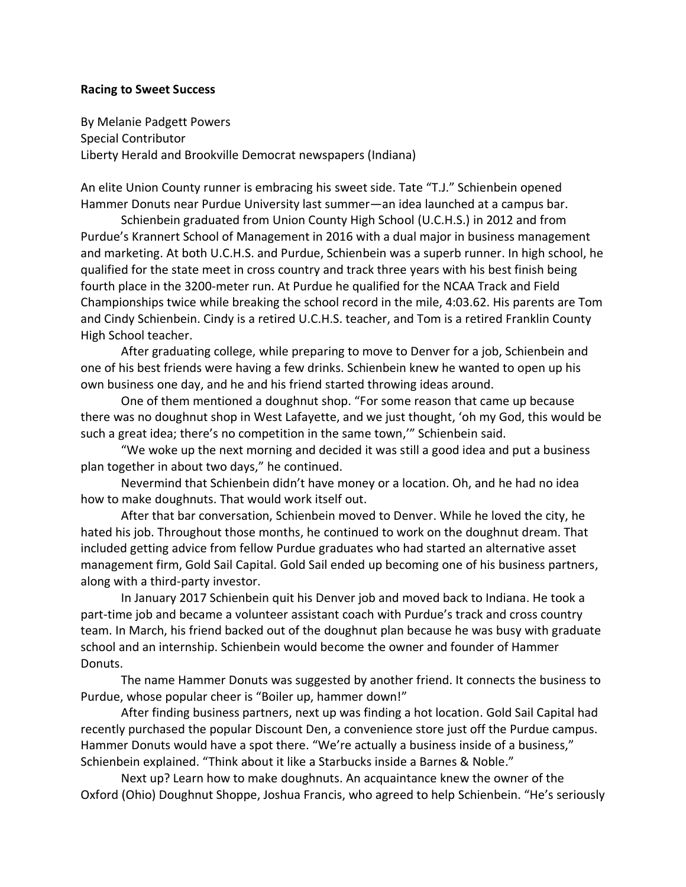## **Racing to Sweet Success**

By Melanie Padgett Powers Special Contributor Liberty Herald and Brookville Democrat newspapers (Indiana)

An elite Union County runner is embracing his sweet side. Tate "T.J." Schienbein opened Hammer Donuts near Purdue University last summer—an idea launched at a campus bar.

Schienbein graduated from Union County High School (U.C.H.S.) in 2012 and from Purdue's Krannert School of Management in 2016 with a dual major in business management and marketing. At both U.C.H.S. and Purdue, Schienbein was a superb runner. In high school, he qualified for the state meet in cross country and track three years with his best finish being fourth place in the 3200-meter run. At Purdue he qualified for the NCAA Track and Field Championships twice while breaking the school record in the mile, 4:03.62. His parents are Tom and Cindy Schienbein. Cindy is a retired U.C.H.S. teacher, and Tom is a retired Franklin County High School teacher.

After graduating college, while preparing to move to Denver for a job, Schienbein and one of his best friends were having a few drinks. Schienbein knew he wanted to open up his own business one day, and he and his friend started throwing ideas around.

One of them mentioned a doughnut shop. "For some reason that came up because there was no doughnut shop in West Lafayette, and we just thought, 'oh my God, this would be such a great idea; there's no competition in the same town,'" Schienbein said.

"We woke up the next morning and decided it was still a good idea and put a business plan together in about two days," he continued.

Nevermind that Schienbein didn't have money or a location. Oh, and he had no idea how to make doughnuts. That would work itself out.

After that bar conversation, Schienbein moved to Denver. While he loved the city, he hated his job. Throughout those months, he continued to work on the doughnut dream. That included getting advice from fellow Purdue graduates who had started an alternative asset management firm, Gold Sail Capital. Gold Sail ended up becoming one of his business partners, along with a third-party investor.

In January 2017 Schienbein quit his Denver job and moved back to Indiana. He took a part-time job and became a volunteer assistant coach with Purdue's track and cross country team. In March, his friend backed out of the doughnut plan because he was busy with graduate school and an internship. Schienbein would become the owner and founder of Hammer Donuts.

The name Hammer Donuts was suggested by another friend. It connects the business to Purdue, whose popular cheer is "Boiler up, hammer down!"

After finding business partners, next up was finding a hot location. Gold Sail Capital had recently purchased the popular Discount Den, a convenience store just off the Purdue campus. Hammer Donuts would have a spot there. "We're actually a business inside of a business," Schienbein explained. "Think about it like a Starbucks inside a Barnes & Noble."

Next up? Learn how to make doughnuts. An acquaintance knew the owner of the Oxford (Ohio) Doughnut Shoppe, Joshua Francis, who agreed to help Schienbein. "He's seriously